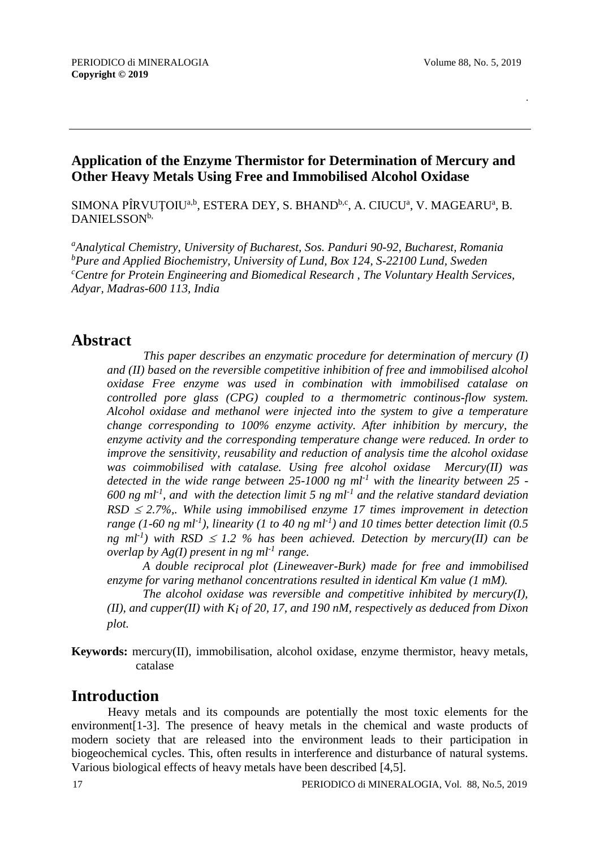.

## **Application of the Enzyme Thermistor for Determination of Mercury and Other Heavy Metals Using Free and Immobilised Alcohol Oxidase**

SIMONA PÎRVUȚOIU<sup>a,b</sup>, ESTERA DEY, S. BHAND<sup>b,c</sup>, A. CIUCUª, V. MAGEARUª, B. DANIELSSON<sup>b,</sup>

*<sup>a</sup>Analytical Chemistry, University of Bucharest, Sos. Panduri 90-92, Bucharest, Romania <sup>b</sup>Pure and Applied Biochemistry, University of Lund, Box 124, S-22100 Lund, Sweden <sup>c</sup>Centre for Protein Engineering and Biomedical Research , The Voluntary Health Services, Adyar, Madras-600 113, India*

# **Abstract**

*This paper describes an enzymatic procedure for determination of mercury (I) and (II) based on the reversible competitive inhibition of free and immobilised alcohol oxidase Free enzyme was used in combination with immobilised catalase on controlled pore glass (CPG) coupled to a thermometric continous-flow system. Alcohol oxidase and methanol were injected into the system to give a temperature change corresponding to 100% enzyme activity. After inhibition by mercury, the enzyme activity and the corresponding temperature change were reduced. In order to improve the sensitivity, reusability and reduction of analysis time the alcohol oxidase was coimmobilised with catalase. Using free alcohol oxidase Mercury(II) was detected in the wide range between 25-1000 ng ml-1 with the linearity between 25 - 600 ng ml-1 , and with the detection limit 5 ng ml-1 and the relative standard deviation*   $RSD \leq 2.7\%$ ,. While using immobilised enzyme 17 times improvement in detection *range (1-60 ng ml-1 ), linearity (1 to 40 ng ml-1 ) and 10 times better detection limit (0.5 ng*  $ml^{-1}$ ) with RSD  $\leq$  1.2 % has been achieved. Detection by mercury(II) can be *overlap by Ag(I) present in ng ml-1 range.*

*A double reciprocal plot (Lineweaver-Burk) made for free and immobilised enzyme for varing methanol concentrations resulted in identical Km value (1 mM).*

*The alcohol oxidase was reversible and competitive inhibited by mercury(I), (II), and cupper(II) with Ki of 20, 17, and 190 nM, respectively as deduced from Dixon plot.* 

**Keywords:** mercury(II), immobilisation, alcohol oxidase, enzyme thermistor, heavy metals, catalase

# **Introduction**

Heavy metals and its compounds are potentially the most toxic elements for the environment[1-3]. The presence of heavy metals in the chemical and waste products of modern society that are released into the environment leads to their participation in biogeochemical cycles. This, often results in interference and disturbance of natural systems. Various biological effects of heavy metals have been described [4,5].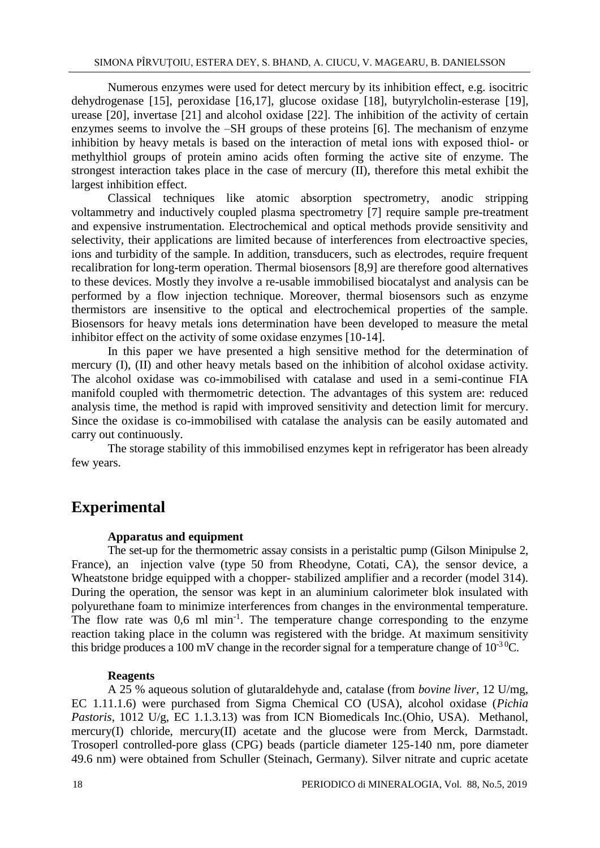Numerous enzymes were used for detect mercury by its inhibition effect, e.g. isocitric dehydrogenase [15], peroxidase [16,17], glucose oxidase [18], butyrylcholin-esterase [19], urease [20], invertase [21] and alcohol oxidase [22]. The inhibition of the activity of certain enzymes seems to involve the –SH groups of these proteins [6]. The mechanism of enzyme inhibition by heavy metals is based on the interaction of metal ions with exposed thiol- or methylthiol groups of protein amino acids often forming the active site of enzyme. The strongest interaction takes place in the case of mercury (II), therefore this metal exhibit the largest inhibition effect.

Classical techniques like atomic absorption spectrometry, anodic stripping voltammetry and inductively coupled plasma spectrometry [7] require sample pre-treatment and expensive instrumentation. Electrochemical and optical methods provide sensitivity and selectivity, their applications are limited because of interferences from electroactive species, ions and turbidity of the sample. In addition, transducers, such as electrodes, require frequent recalibration for long-term operation. Thermal biosensors [8,9] are therefore good alternatives to these devices. Mostly they involve a re-usable immobilised biocatalyst and analysis can be performed by a flow injection technique. Moreover, thermal biosensors such as enzyme thermistors are insensitive to the optical and electrochemical properties of the sample. Biosensors for heavy metals ions determination have been developed to measure the metal inhibitor effect on the activity of some oxidase enzymes [10-14].

In this paper we have presented a high sensitive method for the determination of mercury (I), (II) and other heavy metals based on the inhibition of alcohol oxidase activity. The alcohol oxidase was co-immobilised with catalase and used in a semi-continue FIA manifold coupled with thermometric detection. The advantages of this system are: reduced analysis time, the method is rapid with improved sensitivity and detection limit for mercury. Since the oxidase is co-immobilised with catalase the analysis can be easily automated and carry out continuously.

The storage stability of this immobilised enzymes kept in refrigerator has been already few years.

# **Experimental**

### **Apparatus and equipment**

The set-up for the thermometric assay consists in a peristaltic pump (Gilson Minipulse 2, France), an injection valve (type 50 from Rheodyne, Cotati, CA), the sensor device, a Wheatstone bridge equipped with a chopper- stabilized amplifier and a recorder (model 314). During the operation, the sensor was kept in an aluminium calorimeter blok insulated with polyurethane foam to minimize interferences from changes in the environmental temperature. The flow rate was  $0.6$  ml min<sup>-1</sup>. The temperature change corresponding to the enzyme reaction taking place in the column was registered with the bridge. At maximum sensitivity this bridge produces a 100 mV change in the recorder signal for a temperature change of  $10^{-3}$ <sup>0</sup>C.

#### **Reagents**

A 25 % aqueous solution of glutaraldehyde and, catalase (from *bovine liver*, 12 U/mg, EC 1.11.1.6) were purchased from Sigma Chemical CO (USA), alcohol oxidase (*Pichia Pastoris*, 1012 U/g, EC 1.1.3.13) was from ICN Biomedicals Inc.(Ohio, USA). Methanol, mercury(I) chloride, mercury(II) acetate and the glucose were from Merck, Darmstadt. Trosoperl controlled-pore glass (CPG) beads (particle diameter 125-140 nm, pore diameter 49.6 nm) were obtained from Schuller (Steinach, Germany). Silver nitrate and cupric acetate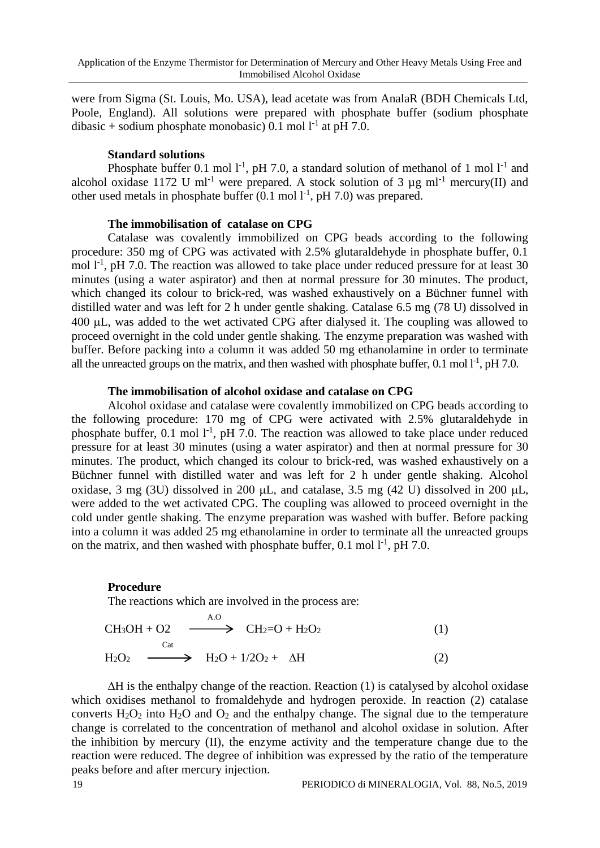were from Sigma (St. Louis, Mo. USA), lead acetate was from AnalaR (BDH Chemicals Ltd, Poole, England). All solutions were prepared with phosphate buffer (sodium phosphate dibasic + sodium phosphate monobasic) 0.1 mol  $l<sup>-1</sup>$  at pH 7.0.

#### **Standard solutions**

Phosphate buffer 0.1 mol  $1^{-1}$ , pH 7.0, a standard solution of methanol of 1 mol  $1^{-1}$  and alcohol oxidase 1172 U ml<sup>-1</sup> were prepared. A stock solution of 3  $\mu$ g ml<sup>-1</sup> mercury(II) and other used metals in phosphate buffer  $(0.1 \text{ mol } l^{-1}$ , pH 7.0) was prepared.

### **The immobilisation of catalase on CPG**

Catalase was covalently immobilized on CPG beads according to the following procedure: 350 mg of CPG was activated with 2.5% glutaraldehyde in phosphate buffer, 0.1 mol  $1^{-1}$ , pH 7.0. The reaction was allowed to take place under reduced pressure for at least 30 minutes (using a water aspirator) and then at normal pressure for 30 minutes. The product, which changed its colour to brick-red, was washed exhaustively on a Büchner funnel with distilled water and was left for 2 h under gentle shaking. Catalase 6.5 mg (78 U) dissolved in 400 L, was added to the wet activated CPG after dialysed it. The coupling was allowed to proceed overnight in the cold under gentle shaking. The enzyme preparation was washed with buffer. Before packing into a column it was added 50 mg ethanolamine in order to terminate all the unreacted groups on the matrix, and then washed with phosphate buffer,  $0.1$  mol  $1^{-1}$ , pH 7.0.

### **The immobilisation of alcohol oxidase and catalase on CPG**

Alcohol oxidase and catalase were covalently immobilized on CPG beads according to the following procedure: 170 mg of CPG were activated with 2.5% glutaraldehyde in phosphate buffer,  $0.1$  mol  $1<sup>-1</sup>$ , pH 7.0. The reaction was allowed to take place under reduced pressure for at least 30 minutes (using a water aspirator) and then at normal pressure for 30 minutes. The product, which changed its colour to brick-red, was washed exhaustively on a Büchner funnel with distilled water and was left for 2 h under gentle shaking. Alcohol oxidase, 3 mg (3U) dissolved in 200  $\mu$ L, and catalase, 3.5 mg (42 U) dissolved in 200  $\mu$ L, were added to the wet activated CPG. The coupling was allowed to proceed overnight in the cold under gentle shaking. The enzyme preparation was washed with buffer. Before packing into a column it was added 25 mg ethanolamine in order to terminate all the unreacted groups on the matrix, and then washed with phosphate buffer,  $0.1 \text{ mol } l^{-1}$ , pH 7.0.

#### **Procedure**

The reactions which are involved in the process are:

$$
CH3OH + O2 \xrightarrow{A.O} CH2=O + H2O2
$$
\n
$$
H2O2 \xrightarrow{Cat} H2O + 1/2O2 + \Delta H
$$
\n(1)

 $\Delta H$  is the enthalpy change of the reaction. Reaction (1) is catalysed by alcohol oxidase which oxidises methanol to fromaldehyde and hydrogen peroxide. In reaction (2) catalase converts  $H_2O_2$  into  $H_2O$  and  $O_2$  and the enthalpy change. The signal due to the temperature change is correlated to the concentration of methanol and alcohol oxidase in solution. After the inhibition by mercury (II), the enzyme activity and the temperature change due to the reaction were reduced. The degree of inhibition was expressed by the ratio of the temperature peaks before and after mercury injection.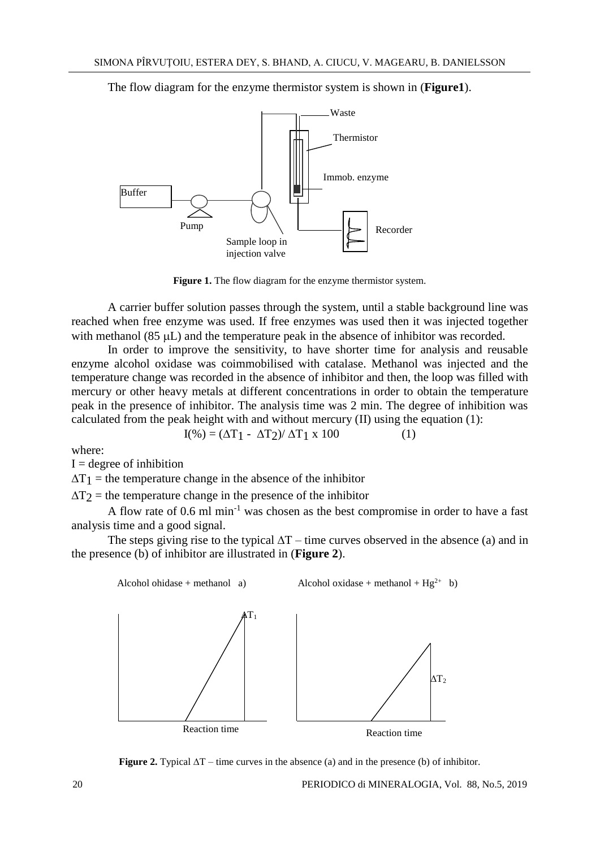The flow diagram for the enzyme thermistor system is shown in (**Figure1**).



**Figure 1.** The flow diagram for the enzyme thermistor system.

A carrier buffer solution passes through the system, until a stable background line was reached when free enzyme was used. If free enzymes was used then it was injected together with methanol  $(85 \mu L)$  and the temperature peak in the absence of inhibitor was recorded.

In order to improve the sensitivity, to have shorter time for analysis and reusable enzyme alcohol oxidase was coimmobilised with catalase. Methanol was injected and the temperature change was recorded in the absence of inhibitor and then, the loop was filled with mercury or other heavy metals at different concentrations in order to obtain the temperature peak in the presence of inhibitor. The analysis time was 2 min. The degree of inhibition was calculated from the peak height with and without mercury (II) using the equation (1):

$$
I(\%) = (\Delta T_1 - \Delta T_2) / \Delta T_1 \times 100
$$
 (1)

where:

 $I = degree of inhibition$ 

 $\Delta T_1$  = the temperature change in the absence of the inhibitor

 $\Delta T_2$  = the temperature change in the presence of the inhibitor

A flow rate of  $0.6$  ml min<sup>-1</sup> was chosen as the best compromise in order to have a fast analysis time and a good signal.

The steps giving rise to the typical  $\Delta T$  – time curves observed in the absence (a) and in the presence (b) of inhibitor are illustrated in (**Figure 2**).



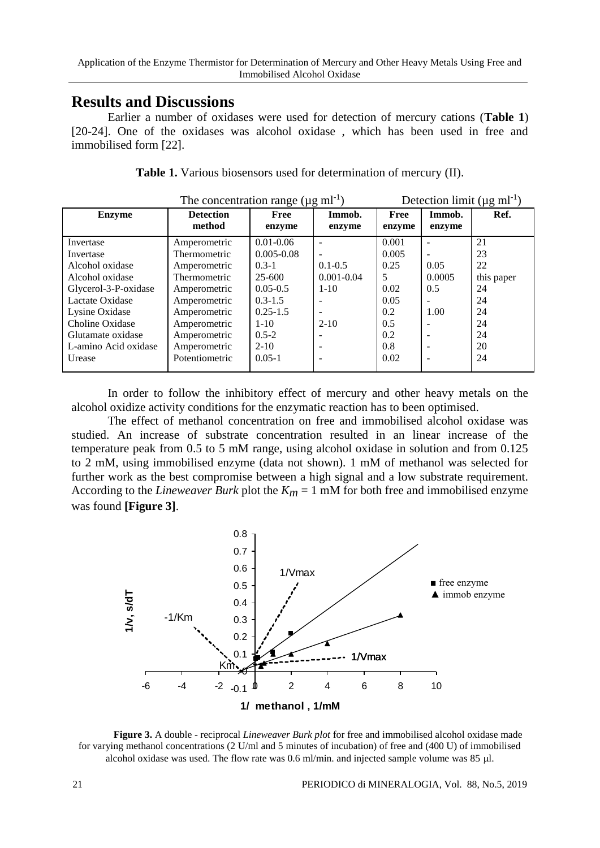## **Results and Discussions**

Earlier a number of oxidases were used for detection of mercury cations (**Table 1**) [20-24]. One of the oxidases was alcohol oxidase , which has been used in free and immobilised form [22].

|                      | The concentration range ( $\mu$ g ml <sup>-1</sup> ) |                |                 | Detection limit ( $\mu$ g ml <sup>-1</sup> ) |                          |            |
|----------------------|------------------------------------------------------|----------------|-----------------|----------------------------------------------|--------------------------|------------|
| <b>Enzyme</b>        | <b>Detection</b>                                     | <b>Free</b>    | Immob.          | Free                                         | Immob.                   | Ref.       |
|                      | method                                               | enzyme         | enzyme          | enzyme                                       | enzyme                   |            |
| Invertase            | Amperometric                                         | $0.01 - 0.06$  |                 | 0.001                                        |                          | 21         |
| Invertase            | Thermometric                                         | $0.005 - 0.08$ |                 | 0.005                                        |                          | 23         |
| Alcohol oxidase      | Amperometric                                         | $0.3 - 1$      | $0.1 - 0.5$     | 0.25                                         | 0.05                     | 22         |
| Alcohol oxidase      | Thermometric                                         | $25 - 600$     | $0.001 - 0.04$  | 5                                            | 0.0005                   | this paper |
| Glycerol-3-P-oxidase | Amperometric                                         | $0.05 - 0.5$   | $1 - 10$        | 0.02                                         | 0.5                      | 24         |
| Lactate Oxidase      | Amperometric                                         | $0.3 - 1.5$    |                 | 0.05                                         | $\overline{\phantom{m}}$ | 24         |
| Lysine Oxidase       | Amperometric                                         | $0.25 - 1.5$   |                 | 0.2                                          | 1.00                     | 24         |
| Choline Oxidase      | Amperometric                                         | $1 - 10$       | $2 - 10$        | 0.5                                          |                          | 24         |
| Glutamate oxidase    | Amperometric                                         | $0.5 - 2$      |                 | 0.2                                          |                          | 24         |
| L-amino Acid oxidase | Amperometric                                         | $2 - 10$       |                 | 0.8                                          |                          | 20         |
| Urease               | Potentiometric                                       | $0.05 - 1$     | $\qquad \qquad$ | 0.02                                         | -                        | 24         |
|                      |                                                      |                |                 |                                              |                          |            |

**Table 1.** Various biosensors used for determination of mercury (II).

In order to follow the inhibitory effect of mercury and other heavy metals on the alcohol oxidize activity conditions for the enzymatic reaction has to been optimised.

The effect of methanol concentration on free and immobilised alcohol oxidase was studied. An increase of substrate concentration resulted in an linear increase of the temperature peak from 0.5 to 5 mM range, using alcohol oxidase in solution and from 0.125 to 2 mM, using immobilised enzyme (data not shown). 1 mM of methanol was selected for further work as the best compromise between a high signal and a low substrate requirement. According to the *Lineweaver Burk* plot the  $K_m = 1$  mM for both free and immobilised enzyme was found **[Figure 3]**.



**Figure 3.** A double - reciprocal *Lineweaver Burk plot* for free and immobilised alcohol oxidase made for varying methanol concentrations (2 U/ml and 5 minutes of incubation) of free and (400 U) of immobilised alcohol oxidase was used. The flow rate was 0.6 ml/min. and injected sample volume was 85 µl.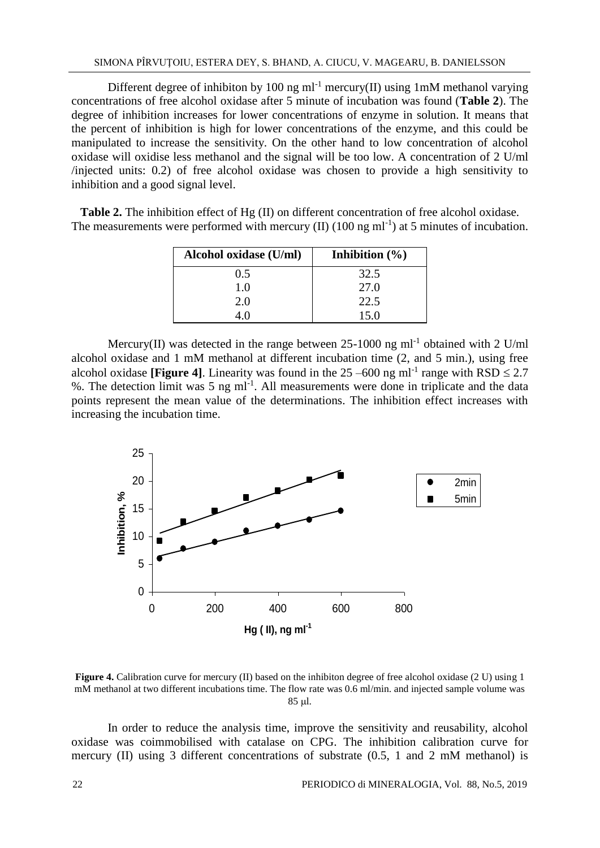Different degree of inhibiton by 100 ng m $l^{-1}$  mercury(II) using 1mM methanol varying concentrations of free alcohol oxidase after 5 minute of incubation was found (**Table 2**). The degree of inhibition increases for lower concentrations of enzyme in solution. It means that the percent of inhibition is high for lower concentrations of the enzyme, and this could be manipulated to increase the sensitivity. On the other hand to low concentration of alcohol oxidase will oxidise less methanol and the signal will be too low. A concentration of 2 U/ml /injected units: 0.2) of free alcohol oxidase was chosen to provide a high sensitivity to inhibition and a good signal level.

**Table 2.** The inhibition effect of Hg (II) on different concentration of free alcohol oxidase. The measurements were performed with mercury (II)  $(100 \text{ ng ml}^{-1})$  at 5 minutes of incubation.

| Alcohol oxidase (U/ml) | Inhibition $(\% )$ |
|------------------------|--------------------|
| 0.5                    | 32.5               |
| 1.0                    | 27.0               |
| 2.0                    | 22.5               |
|                        | 15.0               |

Mercury(II) was detected in the range between  $25$ -1000 ng ml<sup>-1</sup> obtained with 2 U/ml alcohol oxidase and 1 mM methanol at different incubation time (2, and 5 min.), using free alcohol oxidase [**Figure 4**]. Linearity was found in the  $25 -600$  ng ml<sup>-1</sup> range with  $RSD \le 2.7$ %. The detection limit was 5 ng ml<sup>-1</sup>. All measurements were done in triplicate and the data points represent the mean value of the determinations. The inhibition effect increases with increasing the incubation time.



**Figure 4.** Calibration curve for mercury (II) based on the inhibiton degree of free alcohol oxidase (2 U) using 1 mM methanol at two different incubations time. The flow rate was 0.6 ml/min. and injected sample volume was 85 ul.

In order to reduce the analysis time, improve the sensitivity and reusability, alcohol oxidase was coimmobilised with catalase on CPG. The inhibition calibration curve for mercury (II) using 3 different concentrations of substrate (0.5, 1 and 2 mM methanol) is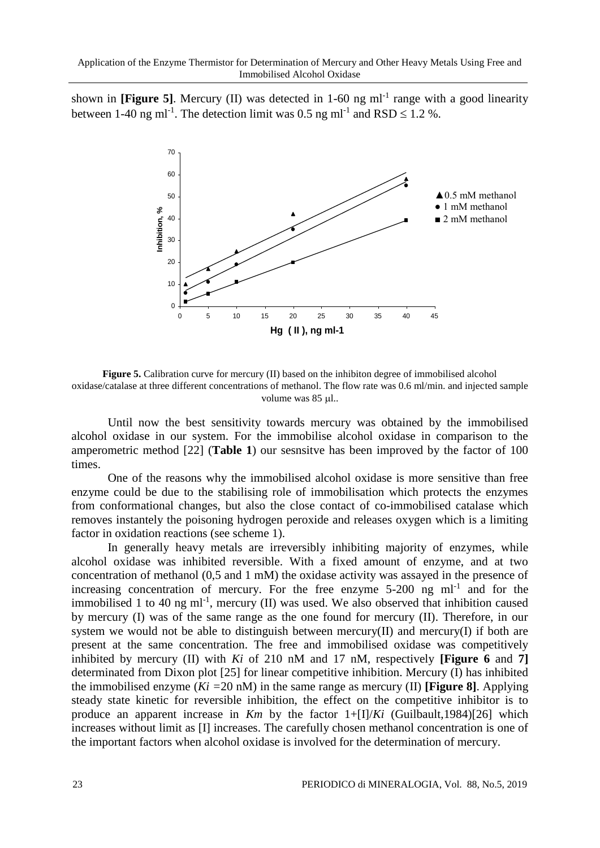shown in [Figure 5]. Mercury (II) was detected in 1-60 ng ml<sup>-1</sup> range with a good linearity between 1-40 ng ml<sup>-1</sup>. The detection limit was 0.5 ng ml<sup>-1</sup> and RSD  $\leq$  1.2 %.



Figure 5. Calibration curve for mercury (II) based on the inhibiton degree of immobilised alcohol oxidase/catalase at three different concentrations of methanol. The flow rate was 0.6 ml/min. and injected sample volume was  $85 \mu$ ...

Until now the best sensitivity towards mercury was obtained by the immobilised alcohol oxidase in our system. For the immobilise alcohol oxidase in comparison to the amperometric method [22] (**Table 1**) our sesnsitve has been improved by the factor of 100 times.

One of the reasons why the immobilised alcohol oxidase is more sensitive than free enzyme could be due to the stabilising role of immobilisation which protects the enzymes from conformational changes, but also the close contact of co-immobilised catalase which removes instantely the poisoning hydrogen peroxide and releases oxygen which is a limiting factor in oxidation reactions (see scheme 1).

In generally heavy metals are irreversibly inhibiting majority of enzymes, while alcohol oxidase was inhibited reversible. With a fixed amount of enzyme, and at two concentration of methanol (0,5 and 1 mM) the oxidase activity was assayed in the presence of increasing concentration of mercury. For the free enzyme  $5-200$  ng ml<sup>-1</sup> and for the immobilised 1 to 40 ng ml<sup>-1</sup>, mercury (II) was used. We also observed that inhibition caused by mercury (I) was of the same range as the one found for mercury (II). Therefore, in our system we would not be able to distinguish between mercury(II) and mercury(I) if both are present at the same concentration. The free and immobilised oxidase was competitively inhibited by mercury (II) with *Ki* of 210 nM and 17 nM, respectively **[Figure 6** and **7]** determinated from Dixon plot [25] for linear competitive inhibition. Mercury (I) has inhibited the immobilised enzyme (*Ki =*20 nM) in the same range as mercury (II) **[Figure 8]**. Applying steady state kinetic for reversible inhibition, the effect on the competitive inhibitor is to produce an apparent increase in *Km* by the factor 1+[I]/*Ki* (Guilbault,1984)[26] which increases without limit as [I] increases. The carefully chosen methanol concentration is one of the important factors when alcohol oxidase is involved for the determination of mercury.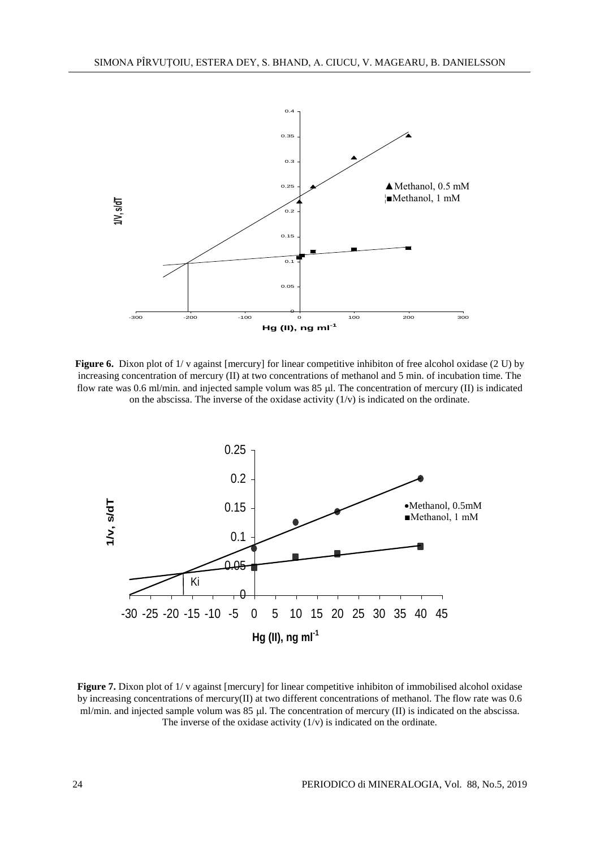

**Figure 6.** Dixon plot of 1/ v against [mercury] for linear competitive inhibiton of free alcohol oxidase (2 U) by increasing concentration of mercury (II) at two concentrations of methanol and 5 min. of incubation time. The flow rate was 0.6 ml/min. and injected sample volum was  $85 \mu$ . The concentration of mercury (II) is indicated on the abscissa. The inverse of the oxidase activity  $(1/v)$  is indicated on the ordinate.



**Figure 7.** Dixon plot of 1/ v against [mercury] for linear competitive inhibiton of immobilised alcohol oxidase by increasing concentrations of mercury(II) at two different concentrations of methanol. The flow rate was 0.6 ml/min. and injected sample volum was  $85 \mu$ . The concentration of mercury (II) is indicated on the abscissa. The inverse of the oxidase activity  $(1/v)$  is indicated on the ordinate.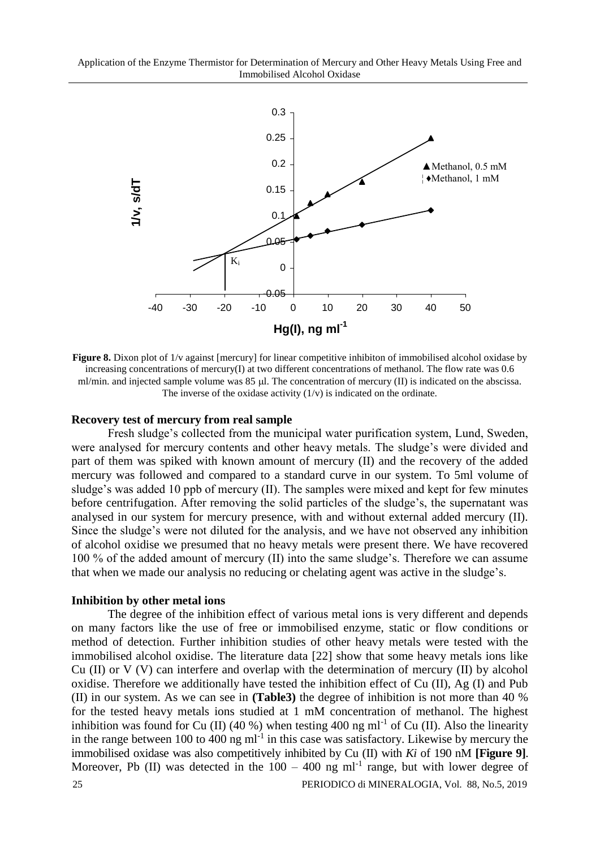Application of the Enzyme Thermistor for Determination of Mercury and Other Heavy Metals Using Free and Immobilised Alcohol Oxidase



**Figure 8.** Dixon plot of  $1/v$  against [mercury] for linear competitive inhibiton of immobilised alcohol oxidase by increasing concentrations of mercury(I) at two different concentrations of methanol. The flow rate was 0.6 ml/min. and injected sample volume was 85 µl. The concentration of mercury (II) is indicated on the abscissa. The inverse of the oxidase activity  $(1/v)$  is indicated on the ordinate.

#### **Recovery test of mercury from real sample**

Fresh sludge's collected from the municipal water purification system, Lund, Sweden, were analysed for mercury contents and other heavy metals. The sludge's were divided and part of them was spiked with known amount of mercury (II) and the recovery of the added mercury was followed and compared to a standard curve in our system. To 5ml volume of sludge's was added 10 ppb of mercury (II). The samples were mixed and kept for few minutes before centrifugation. After removing the solid particles of the sludge's, the supernatant was analysed in our system for mercury presence, with and without external added mercury (II). Since the sludge's were not diluted for the analysis, and we have not observed any inhibition of alcohol oxidise we presumed that no heavy metals were present there. We have recovered 100 % of the added amount of mercury (II) into the same sludge's. Therefore we can assume that when we made our analysis no reducing or chelating agent was active in the sludge's.

#### **Inhibition by other metal ions**

The degree of the inhibition effect of various metal ions is very different and depends on many factors like the use of free or immobilised enzyme, static or flow conditions or method of detection. Further inhibition studies of other heavy metals were tested with the immobilised alcohol oxidise. The literature data [22] show that some heavy metals ions like Cu (II) or V (V) can interfere and overlap with the determination of mercury (II) by alcohol oxidise. Therefore we additionally have tested the inhibition effect of Cu (II), Ag (I) and Pub (II) in our system. As we can see in **(Table3)** the degree of inhibition is not more than 40 % for the tested heavy metals ions studied at 1 mM concentration of methanol. The highest inhibition was found for Cu (II) (40 %) when testing 400 ng ml<sup>-1</sup> of Cu (II). Also the linearity in the range between 100 to 400 ng  $ml^{-1}$  in this case was satisfactory. Likewise by mercury the immobilised oxidase was also competitively inhibited by Cu (II) with *Ki* of 190 nM **[Figure 9]**. Moreover, Pb (II) was detected in the  $100 - 400$  ng ml<sup>-1</sup> range, but with lower degree of 25 PERIODICO di MINERALOGIA, Vol. 88, No.5, 2019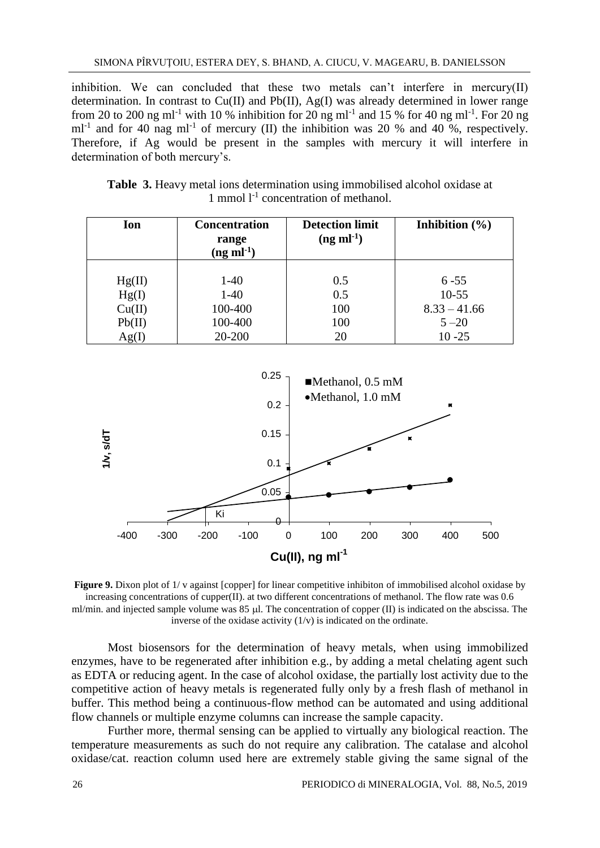inhibition. We can concluded that these two metals can't interfere in mercury $(II)$ determination. In contrast to  $Cu(II)$  and  $Pb(II)$ , Ag(I) was already determined in lower range from 20 to 200 ng ml<sup>-1</sup> with 10 % inhibition for 20 ng ml<sup>-1</sup> and 15 % for 40 ng ml<sup>-1</sup>. For 20 ng ml<sup>-1</sup> and for 40 nag ml<sup>-1</sup> of mercury (II) the inhibition was 20 % and 40 %, respectively. Therefore, if Ag would be present in the samples with mercury it will interfere in determination of both mercury's.

| Ion    | <b>Concentration</b><br>range<br>$(ng ml-1)$ | <b>Detection limit</b><br>$(ng \text{ ml}^{-1})$ | Inhibition $(\% )$ |
|--------|----------------------------------------------|--------------------------------------------------|--------------------|
|        |                                              |                                                  |                    |
| Hg(II) | $1-40$                                       | 0.5                                              | $6 - 55$           |
| Hg(I)  | $1-40$                                       | 0.5                                              | $10 - 55$          |
| Cu(II) | 100-400                                      | 100                                              | $8.33 - 41.66$     |
| Pb(II) | 100-400                                      | 100                                              | $5 - 20$           |
| Ag(I)  | 20-200                                       | 20                                               | $10 - 25$          |

**Table 3.** Heavy metal ions determination using immobilised alcohol oxidase at 1 mmol  $1<sup>-1</sup>$  concentration of methanol.



**Figure 9.** Dixon plot of 1/ v against [copper] for linear competitive inhibiton of immobilised alcohol oxidase by increasing concentrations of cupper(II). at two different concentrations of methanol. The flow rate was 0.6 ml/min. and injected sample volume was  $85 \mu$ . The concentration of copper (II) is indicated on the abscissa. The inverse of the oxidase activity  $(1/v)$  is indicated on the ordinate.

Most biosensors for the determination of heavy metals, when using immobilized enzymes, have to be regenerated after inhibition e.g., by adding a metal chelating agent such as EDTA or reducing agent. In the case of alcohol oxidase, the partially lost activity due to the competitive action of heavy metals is regenerated fully only by a fresh flash of methanol in buffer. This method being a continuous-flow method can be automated and using additional flow channels or multiple enzyme columns can increase the sample capacity.

Further more, thermal sensing can be applied to virtually any biological reaction. The temperature measurements as such do not require any calibration. The catalase and alcohol oxidase/cat. reaction column used here are extremely stable giving the same signal of the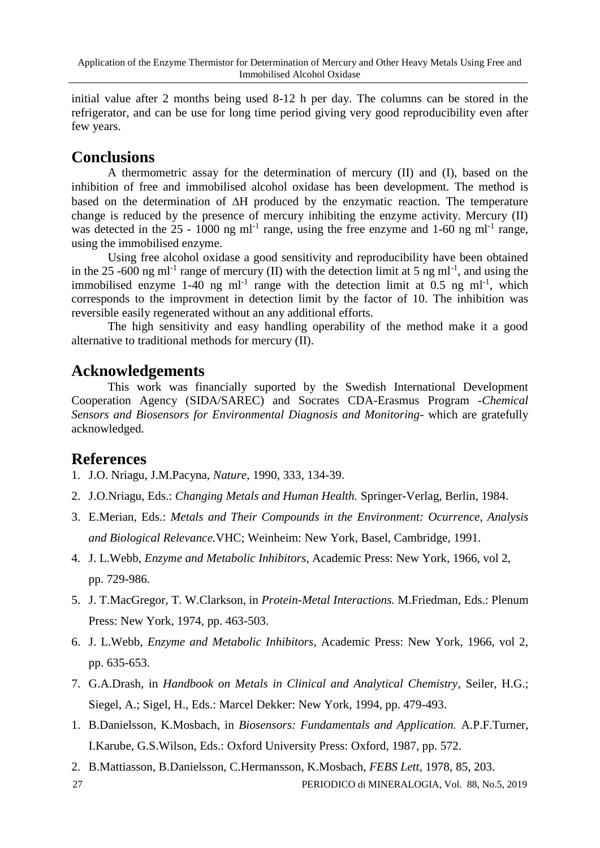initial value after 2 months being used 8-12 h per day. The columns can be stored in the refrigerator, and can be use for long time period giving very good reproducibility even after few years.

# **Conclusions**

A thermometric assay for the determination of mercury (II) and (I), based on the inhibition of free and immobilised alcohol oxidase has been development. The method is based on the determination of  $\Delta H$  produced by the enzymatic reaction. The temperature change is reduced by the presence of mercury inhibiting the enzyme activity. Mercury (II) was detected in the  $25 - 1000$  ng m $l^{-1}$  range, using the free enzyme and 1-60 ng m $l^{-1}$  range, using the immobilised enzyme.

Using free alcohol oxidase a good sensitivity and reproducibility have been obtained in the 25 -600 ng ml<sup>-1</sup> range of mercury (II) with the detection limit at 5 ng ml<sup>-1</sup>, and using the immobilised enzyme 1-40 ng ml<sup>-1</sup> range with the detection limit at 0.5 ng ml<sup>-1</sup>, which corresponds to the improvment in detection limit by the factor of 10. The inhibition was reversible easily regenerated without an any additional efforts.

The high sensitivity and easy handling operability of the method make it a good alternative to traditional methods for mercury (II).

# **Acknowledgements**

This work was financially suported by the Swedish International Development Cooperation Agency (SIDA/SAREC) and Socrates CDA-Erasmus Program -*Chemical Sensors and Biosensors for Environmental Diagnosis and Monitoring*- which are gratefully acknowledged.

## **References**

- 1. J.O. Nriagu, J.M.Pacyna, *Nature*, 1990, 333, 134-39.
- 2. J.O.Nriagu, Eds.: *Changing Metals and Human Health.* Springer-Verlag, Berlin, 1984.
- 3. E.Merian, Eds.: *Metals and Their Compounds in the Environment: Ocurrence, Analysis and Biological Relevance.*VHC; Weinheim: New York, Basel, Cambridge, 1991.
- 4. J. L.Webb, *Enzyme and Metabolic Inhibitors*, Academic Press: New York, 1966, vol 2, pp. 729-986.
- 5. J. T.MacGregor, T. W.Clarkson, in *Protein-Metal Interactions.* M.Friedman, Eds.: Plenum Press: New York, 1974, pp. 463-503.
- 6. J. L.Webb, *Enzyme and Metabolic Inhibitors*, Academic Press: New York, 1966, vol 2, pp. 635-653.
- 7. G.A.Drash, in *Handbook on Metals in Clinical and Analytical Chemistry*, Seiler, H.G.; Siegel, A.; Sigel, H., Eds.: Marcel Dekker: New York, 1994, pp. 479-493.
- 1. B.Danielsson, K.Mosbach, in *Biosensors: Fundamentals and Application.* A.P.F.Turner, I.Karube, G.S.Wilson, Eds.: Oxford University Press: Oxford, 1987, pp. 572.
- 2. B.Mattiasson, B.Danielsson, C.Hermansson, K.Mosbach, *FEBS Lett*, 1978, 85, 203.

27 PERIODICO di MINERALOGIA, Vol. 88, No.5, 2019